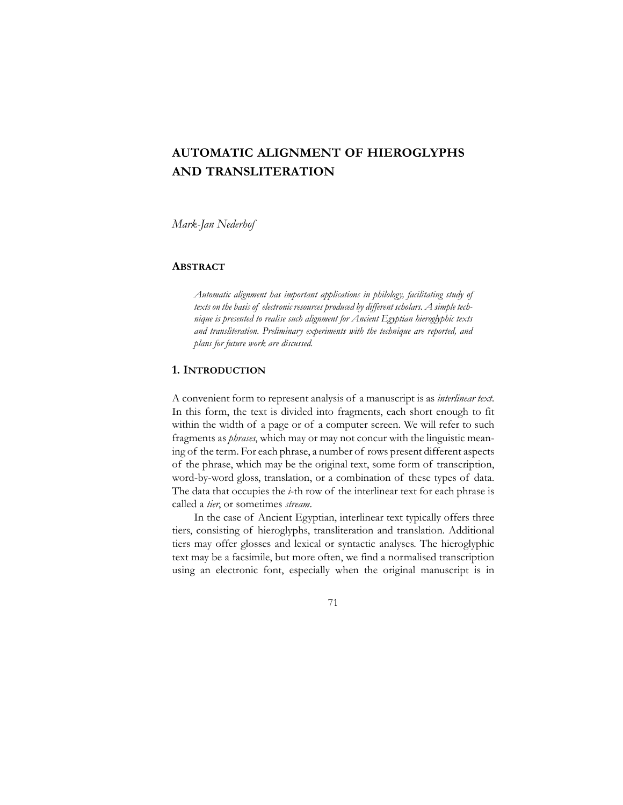## **AUTOMATIC ALIGNMENT OF HIEROGLYPHS AND TRANSLITERATION**

*Mark-Jan Nederhof* 

#### **ABSTRACT**

*Automatic alignment has important applications in philology, facilitating study of texts on the basis of electronic resources produced by different scholars. A simple technique is presented to realise such alignment for Ancient Egyptian hieroglyphic texts and transliteration. Preliminary experiments with the technique are reported, and plans for future work are discussed.* 

#### **1. INTRODUCTION**

A convenient form to represent analysis of a manuscript is as *interlinear text*. In this form, the text is divided into fragments, each short enough to fit within the width of a page or of a computer screen. We will refer to such fragments as *phrases*, which may or may not concur with the linguistic meaning of the term. For each phrase, a number of rows present different aspects of the phrase, which may be the original text, some form of transcription, word-by-word gloss, translation, or a combination of these types of data. The data that occupies the *i*-th row of the interlinear text for each phrase is called a *tier*, or sometimes *stream*.

In the case of Ancient Egyptian, interlinear text typically offers three tiers, consisting of hieroglyphs, transliteration and translation. Additional tiers may offer glosses and lexical or syntactic analyses. The hieroglyphic text may be a facsimile, but more often, we find a normalised transcription using an electronic font, especially when the original manuscript is in

71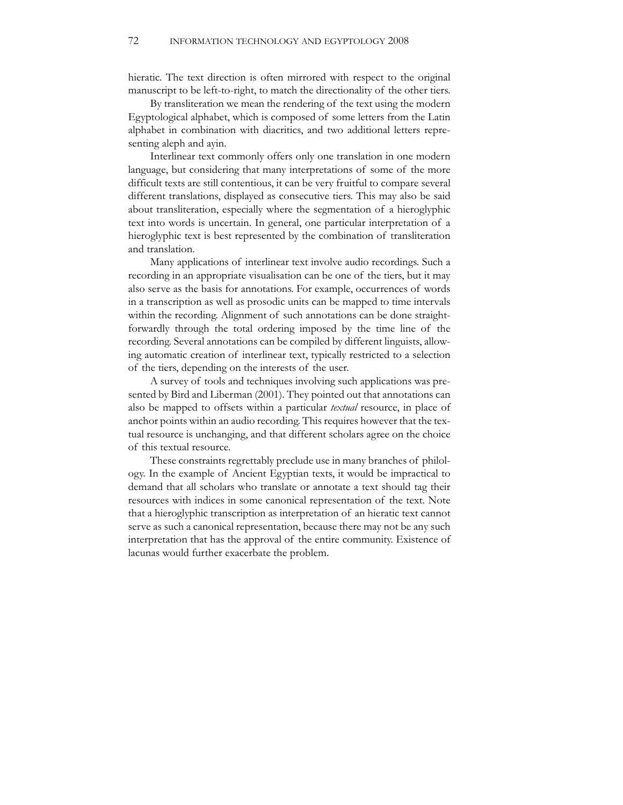hieratic. The text direction is often mirrored with respect to the original manuscript to be left-to-right, to match the directionality of the other tiers.

By transliteration we mean the rendering of the text using the modern Egyptological alphabet, which is composed of some letters from the Latin alphabet in combination with diacritics, and two additional letters representing aleph and ayin.

Interlinear text commonly offers only one translation in one modern language, but considering that many interpretations of some of the more difficult texts are still contentious, it can be very fruitful to compare several different translations, displayed as consecutive tiers. This may also be said about transliteration, especially where the segmentation of a hieroglyphic text into words is uncertain. In general, one particular interpretation of a hieroglyphic text is best represented by the combination of transliteration and translation.

Many applications of interlinear text involve audio recordings. Such a recording in an appropriate visualisation can be one of the tiers, but it may also serve as the basis for annotations. For example, occurrences of words in a transcription as well as prosodic units can be mapped to time intervals within the recording. Alignment of such annotations can be done straightforwardly through the total ordering imposed by the time line of the recording. Several annotations can be compiled by different linguists, allowing automatic creation of interlinear text, typically restricted to a selection of the tiers, depending on the interests of the user.

A survey of tools and techniques involving such applications was presented by Bird and Liberman (2001). They pointed out that annotations can also be mapped to offsets within a particular *textual* resource, in place of anchor points within an audio recording. This requires however that the textual resource is unchanging, and that different scholars agree on the choice of this textual resource.

These constraints regrettably preclude use in many branches of philology. In the example of Ancient Egyptian texts, it would be impractical to demand that all scholars who translate or annotate a text should tag their resources with indices in some canonical representation of the text. Note that a hieroglyphic transcription as interpretation of an hieratic text cannot serve as such a canonical representation, because there may not be any such interpretation that has the approval of the entire community. Existence of lacunas would further exacerbate the problem.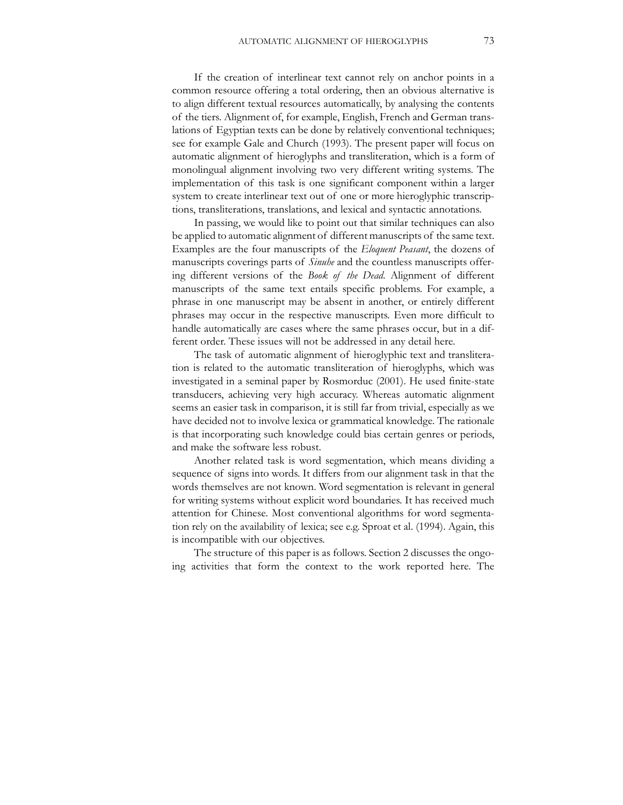If the creation of interlinear text cannot rely on anchor points in a common resource offering a total ordering, then an obvious alternative is to align different textual resources automatically, by analysing the contents of the tiers. Alignment of, for example, English, French and German translations of Egyptian texts can be done by relatively conventional techniques; see for example Gale and Church (1993). The present paper will focus on automatic alignment of hieroglyphs and transliteration, which is a form of monolingual alignment involving two very different writing systems. The implementation of this task is one significant component within a larger system to create interlinear text out of one or more hieroglyphic transcriptions, transliterations, translations, and lexical and syntactic annotations.

In passing, we would like to point out that similar techniques can also be applied to automatic alignment of different manuscripts of the same text. Examples are the four manuscripts of the *Eloquent Peasant*, the dozens of manuscripts coverings parts of *Sinuhe* and the countless manuscripts offering different versions of the *Book of the Dead*. Alignment of different manuscripts of the same text entails specific problems. For example, a phrase in one manuscript may be absent in another, or entirely different phrases may occur in the respective manuscripts. Even more difficult to handle automatically are cases where the same phrases occur, but in a different order. These issues will not be addressed in any detail here.

The task of automatic alignment of hieroglyphic text and transliteration is related to the automatic transliteration of hieroglyphs, which was investigated in a seminal paper by Rosmorduc (2001). He used finite-state transducers, achieving very high accuracy. Whereas automatic alignment seems an easier task in comparison, it is still far from trivial, especially as we have decided not to involve lexica or grammatical knowledge. The rationale is that incorporating such knowledge could bias certain genres or periods, and make the software less robust.

Another related task is word segmentation, which means dividing a sequence of signs into words. It differs from our alignment task in that the words themselves are not known. Word segmentation is relevant in general for writing systems without explicit word boundaries. It has received much attention for Chinese. Most conventional algorithms for word segmentation rely on the availability of lexica; see e.g. Sproat et al. (1994). Again, this is incompatible with our objectives.

The structure of this paper is as follows. Section 2 discusses the ongoing activities that form the context to the work reported here. The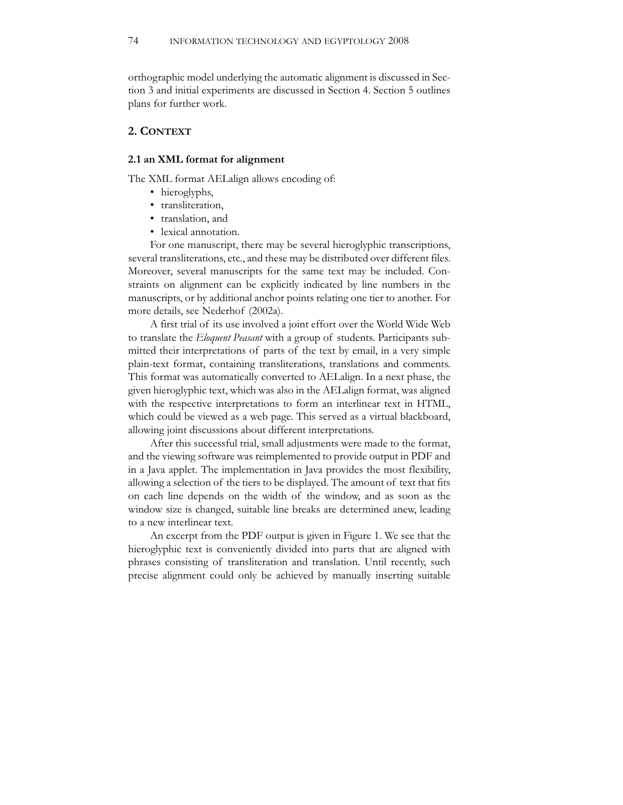orthographic model underlying the automatic alignment is discussed in Section 3 and initial experiments are discussed in Section 4. Section 5 outlines plans for further work.

#### **2. CONTEXT**

#### **2.1 an XML format for alignment**

The XML format AELalign allows encoding of:

- hieroglyphs,
- transliteration,
- translation, and
- lexical annotation.

For one manuscript, there may be several hieroglyphic transcriptions, several transliterations, etc., and these may be distributed over different files. Moreover, several manuscripts for the same text may be included. Constraints on alignment can be explicitly indicated by line numbers in the manuscripts, or by additional anchor points relating one tier to another. For more details, see Nederhof (2002a).

A first trial of its use involved a joint effort over the World Wide Web to translate the *Eloquent Peasant* with a group of students. Participants submitted their interpretations of parts of the text by email, in a very simple plain-text format, containing transliterations, translations and comments. This format was automatically converted to AELalign. In a next phase, the given hieroglyphic text, which was also in the AELalign format, was aligned with the respective interpretations to form an interlinear text in HTML, which could be viewed as a web page. This served as a virtual blackboard, allowing joint discussions about different interpretations.

After this successful trial, small adjustments were made to the format, and the viewing software was reimplemented to provide output in PDF and in a Java applet. The implementation in Java provides the most flexibility, allowing a selection of the tiers to be displayed. The amount of text that fits on each line depends on the width of the window, and as soon as the window size is changed, suitable line breaks are determined anew, leading to a new interlinear text.

An excerpt from the PDF output is given in Figure 1. We see that the hieroglyphic text is conveniently divided into parts that are aligned with phrases consisting of transliteration and translation. Until recently, such precise alignment could only be achieved by manually inserting suitable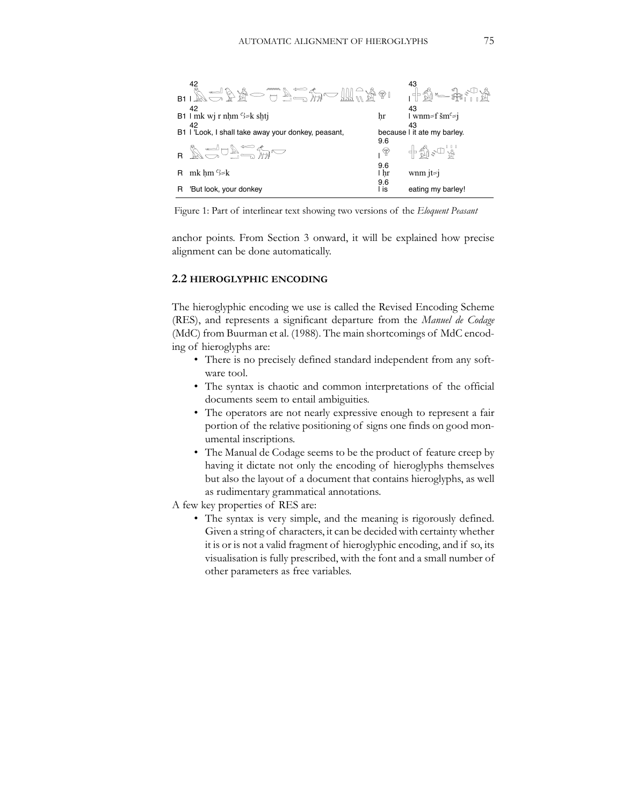

Figure 1: Part of interlinear text showing two versions of the *Eloquent Peasant*

anchor points. From Section 3 onward, it will be explained how precise alignment can be done automatically.

#### **2.2 HIEROGLYPHIC ENCODING**

The hieroglyphic encoding we use is called the Revised Encoding Scheme (RES), and represents a significant departure from the *Manuel de Codage* (MdC) from Buurman et al. (1988). The main shortcomings of MdC encoding of hieroglyphs are:

- There is no precisely defined standard independent from any software tool.
- The syntax is chaotic and common interpretations of the official documents seem to entail ambiguities.
- The operators are not nearly expressive enough to represent a fair portion of the relative positioning of signs one finds on good monumental inscriptions.
- The Manual de Codage seems to be the product of feature creep by having it dictate not only the encoding of hieroglyphs themselves but also the layout of a document that contains hieroglyphs, as well as rudimentary grammatical annotations.

A few key properties of RES are:

• The syntax is very simple, and the meaning is rigorously defined. Given a string of characters, it can be decided with certainty whether it is or is not a valid fragment of hieroglyphic encoding, and if so, its visualisation is fully prescribed, with the font and a small number of other parameters as free variables.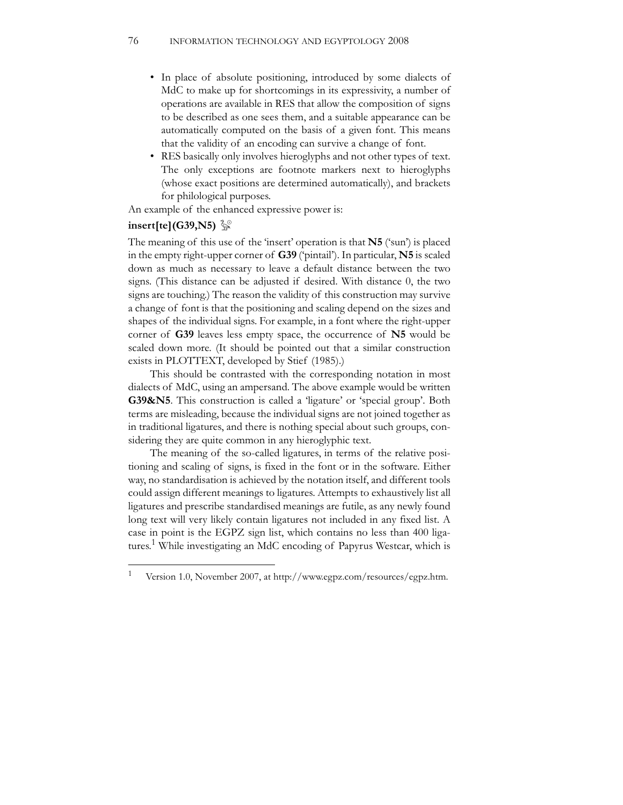- In place of absolute positioning, introduced by some dialects of MdC to make up for shortcomings in its expressivity, a number of operations are available in RES that allow the composition of signs to be described as one sees them, and a suitable appearance can be automatically computed on the basis of a given font. This means that the validity of an encoding can survive a change of font.
- RES basically only involves hieroglyphs and not other types of text. The only exceptions are footnote markers next to hieroglyphs (whose exact positions are determined automatically), and brackets for philological purposes.

An example of the enhanced expressive power is:

# **insert[te](G39,N5)**  ~%

The meaning of this use of the 'insert' operation is that **N5** ('sun') is placed in the empty right-upper corner of **G39** ('pintail'). In particular, **N5** is scaled down as much as necessary to leave a default distance between the two signs. (This distance can be adjusted if desired. With distance 0, the two signs are touching.) The reason the validity of this construction may survive a change of font is that the positioning and scaling depend on the sizes and shapes of the individual signs. For example, in a font where the right-upper corner of **G39** leaves less empty space, the occurrence of **N5** would be scaled down more. (It should be pointed out that a similar construction exists in PLOTTEXT, developed by Stief (1985).)

This should be contrasted with the corresponding notation in most dialects of MdC, using an ampersand. The above example would be written **G39&N5**. This construction is called a 'ligature' or 'special group'. Both terms are misleading, because the individual signs are not joined together as in traditional ligatures, and there is nothing special about such groups, considering they are quite common in any hieroglyphic text.

The meaning of the so-called ligatures, in terms of the relative positioning and scaling of signs, is fixed in the font or in the software. Either way, no standardisation is achieved by the notation itself, and different tools could assign different meanings to ligatures. Attempts to exhaustively list all ligatures and prescribe standardised meanings are futile, as any newly found long text will very likely contain ligatures not included in any fixed list. A case in point is the EGPZ sign list, which contains no less than 400 ligatures.<sup>1</sup> While investigating an MdC encoding of Papyrus Westcar, which is

<sup>1</sup> Version 1.0, November 2007, at http://www.egpz.com/resources/egpz.htm.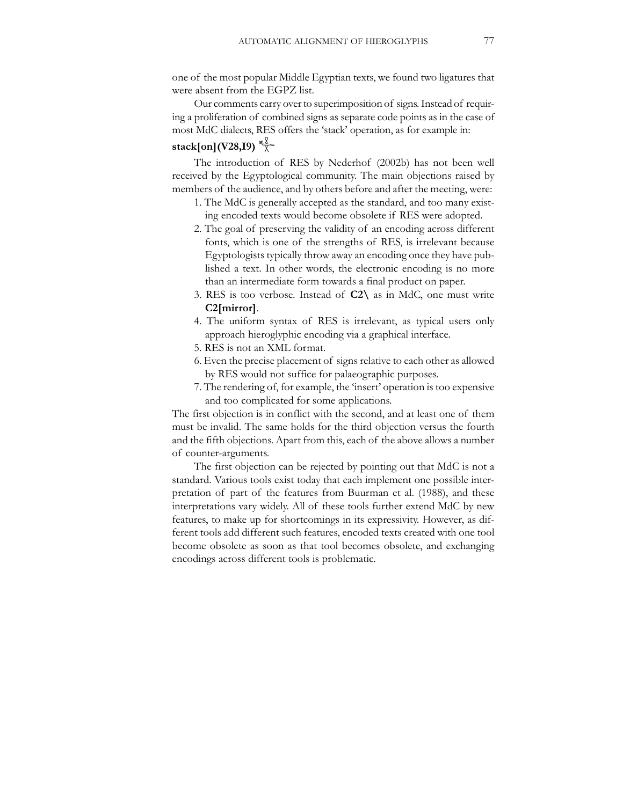one of the most popular Middle Egyptian texts, we found two ligatures that were absent from the EGPZ list.

Our comments carry over to superimposition of signs. Instead of requiring a proliferation of combined signs as separate code points as in the case of most MdC dialects, RES offers the 'stack' operation, as for example in: **stack[on](V28,I9)** 

The introduction of RES by Nederhof (2002b) has not been well received by the Egyptological community. The main objections raised by members of the audience, and by others before and after the meeting, were:

- 1. The MdC is generally accepted as the standard, and too many existing encoded texts would become obsolete if RES were adopted.
- 2. The goal of preserving the validity of an encoding across different fonts, which is one of the strengths of RES, is irrelevant because Egyptologists typically throw away an encoding once they have published a text. In other words, the electronic encoding is no more than an intermediate form towards a final product on paper.
- 3. RES is too verbose. Instead of **C2\** as in MdC, one must write **C2[mirror]**.
- 4. The uniform syntax of RES is irrelevant, as typical users only approach hieroglyphic encoding via a graphical interface.
- 5. RES is not an XML format.
- 6. Even the precise placement of signs relative to each other as allowed by RES would not suffice for palaeographic purposes.
- 7. The rendering of, for example, the 'insert' operation is too expensive and too complicated for some applications.

The first objection is in conflict with the second, and at least one of them must be invalid. The same holds for the third objection versus the fourth and the fifth objections. Apart from this, each of the above allows a number of counter-arguments.

The first objection can be rejected by pointing out that MdC is not a standard. Various tools exist today that each implement one possible interpretation of part of the features from Buurman et al. (1988), and these interpretations vary widely. All of these tools further extend MdC by new features, to make up for shortcomings in its expressivity. However, as different tools add different such features, encoded texts created with one tool become obsolete as soon as that tool becomes obsolete, and exchanging encodings across different tools is problematic.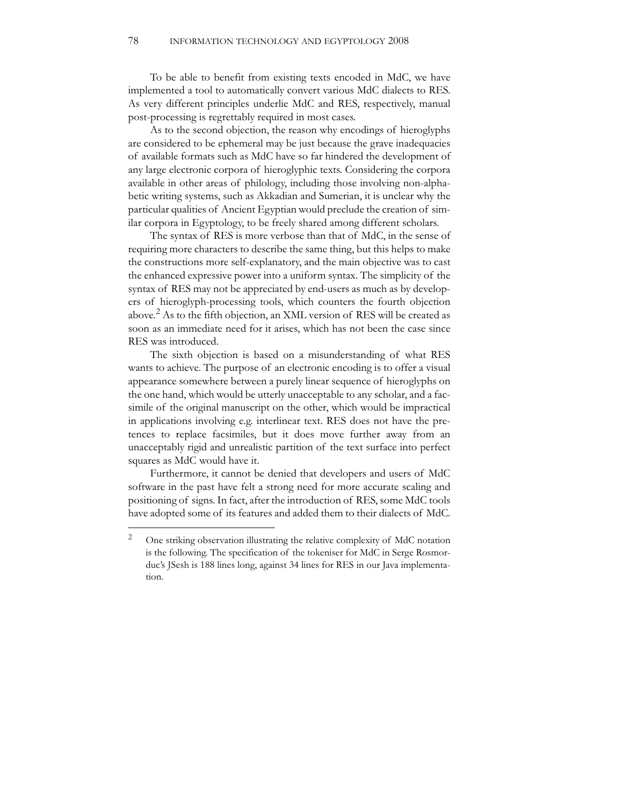To be able to benefit from existing texts encoded in MdC, we have implemented a tool to automatically convert various MdC dialects to RES. As very different principles underlie MdC and RES, respectively, manual post-processing is regrettably required in most cases.

As to the second objection, the reason why encodings of hieroglyphs are considered to be ephemeral may be just because the grave inadequacies of available formats such as MdC have so far hindered the development of any large electronic corpora of hieroglyphic texts. Considering the corpora available in other areas of philology, including those involving non-alphabetic writing systems, such as Akkadian and Sumerian, it is unclear why the particular qualities of Ancient Egyptian would preclude the creation of similar corpora in Egyptology, to be freely shared among different scholars.

The syntax of RES is more verbose than that of MdC, in the sense of requiring more characters to describe the same thing, but this helps to make the constructions more self-explanatory, and the main objective was to cast the enhanced expressive power into a uniform syntax. The simplicity of the syntax of RES may not be appreciated by end-users as much as by developers of hieroglyph-processing tools, which counters the fourth objection above.2 As to the fifth objection, an XML version of RES will be created as soon as an immediate need for it arises, which has not been the case since RES was introduced.

The sixth objection is based on a misunderstanding of what RES wants to achieve. The purpose of an electronic encoding is to offer a visual appearance somewhere between a purely linear sequence of hieroglyphs on the one hand, which would be utterly unacceptable to any scholar, and a facsimile of the original manuscript on the other, which would be impractical in applications involving e.g. interlinear text. RES does not have the pretences to replace facsimiles, but it does move further away from an unacceptably rigid and unrealistic partition of the text surface into perfect squares as MdC would have it.

Furthermore, it cannot be denied that developers and users of MdC software in the past have felt a strong need for more accurate scaling and positioning of signs. In fact, after the introduction of RES, some MdC tools have adopted some of its features and added them to their dialects of MdC.

<sup>&</sup>lt;sup>2</sup> One striking observation illustrating the relative complexity of MdC notation is the following. The specification of the tokeniser for MdC in Serge Rosmorduc's JSesh is 188 lines long, against 34 lines for RES in our Java implementation.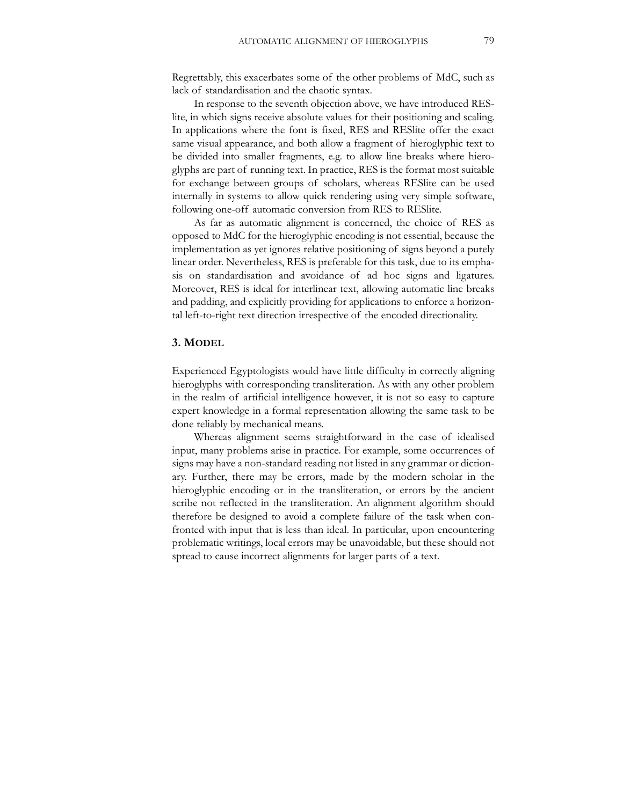Regrettably, this exacerbates some of the other problems of MdC, such as lack of standardisation and the chaotic syntax.

In response to the seventh objection above, we have introduced RESlite, in which signs receive absolute values for their positioning and scaling. In applications where the font is fixed, RES and RESlite offer the exact same visual appearance, and both allow a fragment of hieroglyphic text to be divided into smaller fragments, e.g. to allow line breaks where hieroglyphs are part of running text. In practice, RES is the format most suitable for exchange between groups of scholars, whereas RESlite can be used internally in systems to allow quick rendering using very simple software, following one-off automatic conversion from RES to RESlite.

As far as automatic alignment is concerned, the choice of RES as opposed to MdC for the hieroglyphic encoding is not essential, because the implementation as yet ignores relative positioning of signs beyond a purely linear order. Nevertheless, RES is preferable for this task, due to its emphasis on standardisation and avoidance of ad hoc signs and ligatures. Moreover, RES is ideal for interlinear text, allowing automatic line breaks and padding, and explicitly providing for applications to enforce a horizontal left-to-right text direction irrespective of the encoded directionality.

#### **3. MODEL**

Experienced Egyptologists would have little difficulty in correctly aligning hieroglyphs with corresponding transliteration. As with any other problem in the realm of artificial intelligence however, it is not so easy to capture expert knowledge in a formal representation allowing the same task to be done reliably by mechanical means.

Whereas alignment seems straightforward in the case of idealised input, many problems arise in practice. For example, some occurrences of signs may have a non-standard reading not listed in any grammar or dictionary. Further, there may be errors, made by the modern scholar in the hieroglyphic encoding or in the transliteration, or errors by the ancient scribe not reflected in the transliteration. An alignment algorithm should therefore be designed to avoid a complete failure of the task when confronted with input that is less than ideal. In particular, upon encountering problematic writings, local errors may be unavoidable, but these should not spread to cause incorrect alignments for larger parts of a text.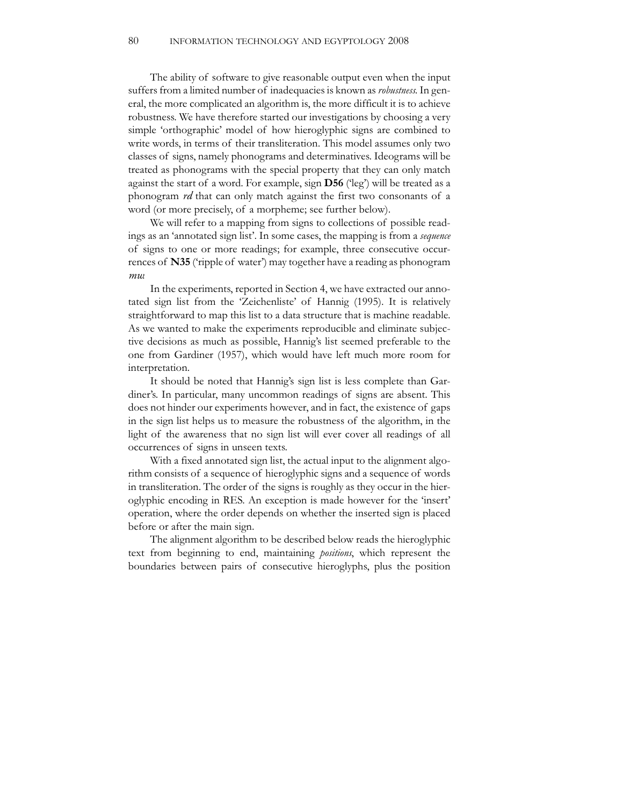The ability of software to give reasonable output even when the input suffers from a limited number of inadequacies is known as *robustness*. In general, the more complicated an algorithm is, the more difficult it is to achieve robustness. We have therefore started our investigations by choosing a very simple 'orthographic' model of how hieroglyphic signs are combined to write words, in terms of their transliteration. This model assumes only two classes of signs, namely phonograms and determinatives. Ideograms will be treated as phonograms with the special property that they can only match against the start of a word. For example, sign **D56** ('leg') will be treated as a phonogram *rd* that can only match against the first two consonants of a word (or more precisely, of a morpheme; see further below).

We will refer to a mapping from signs to collections of possible readings as an 'annotated sign list'. In some cases, the mapping is from a *sequence* of signs to one or more readings; for example, three consecutive occurrences of **N35** ('ripple of water') may together have a reading as phonogram *mw*.

In the experiments, reported in Section 4, we have extracted our annotated sign list from the 'Zeichenliste' of Hannig (1995). It is relatively straightforward to map this list to a data structure that is machine readable. As we wanted to make the experiments reproducible and eliminate subjective decisions as much as possible, Hannig's list seemed preferable to the one from Gardiner (1957), which would have left much more room for interpretation.

It should be noted that Hannig's sign list is less complete than Gardiner's. In particular, many uncommon readings of signs are absent. This does not hinder our experiments however, and in fact, the existence of gaps in the sign list helps us to measure the robustness of the algorithm, in the light of the awareness that no sign list will ever cover all readings of all occurrences of signs in unseen texts.

With a fixed annotated sign list, the actual input to the alignment algorithm consists of a sequence of hieroglyphic signs and a sequence of words in transliteration. The order of the signs is roughly as they occur in the hieroglyphic encoding in RES. An exception is made however for the 'insert' operation, where the order depends on whether the inserted sign is placed before or after the main sign.

The alignment algorithm to be described below reads the hieroglyphic text from beginning to end, maintaining *positions*, which represent the boundaries between pairs of consecutive hieroglyphs, plus the position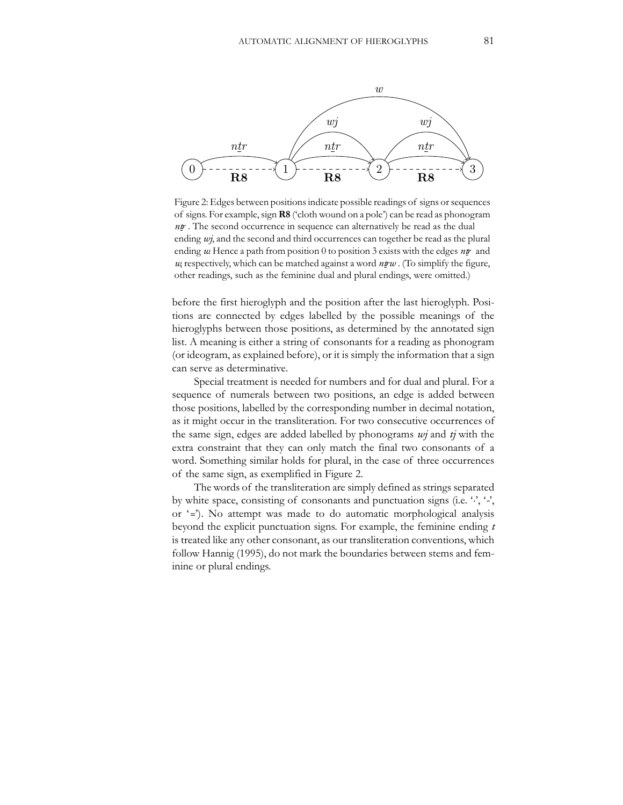

Figure 2: Edges between positions indicate possible readings of signs or sequences of signs. For example, sign **R8** ('cloth wound on a pole') can be read as phonogram *ntr*. The second occurrence in sequence can alternatively be read as the dual ending *wj*, and the second and third occurrences can together be read as the plural ending  $w$ . Hence a path from position 0 to position 3 exists with the edges  $n\mathbf{r}$  and *w*, respectively, which can be matched against a word  $n\pi w$ . (To simplify the figure, other readings, such as the feminine dual and plural endings, were omitted.)

before the first hieroglyph and the position after the last hieroglyph. Positions are connected by edges labelled by the possible meanings of the hieroglyphs between those positions, as determined by the annotated sign list. A meaning is either a string of consonants for a reading as phonogram (or ideogram, as explained before), or it is simply the information that a sign can serve as determinative.

Special treatment is needed for numbers and for dual and plural. For a sequence of numerals between two positions, an edge is added between those positions, labelled by the corresponding number in decimal notation, as it might occur in the transliteration. For two consecutive occurrences of the same sign, edges are added labelled by phonograms *wj* and *tj* with the extra constraint that they can only match the final two consonants of a word. Something similar holds for plural, in the case of three occurrences of the same sign, as exemplified in Figure 2.

The words of the transliteration are simply defined as strings separated by white space, consisting of consonants and punctuation signs (i.e. '*.*', '*-*', or '*=*'). No attempt was made to do automatic morphological analysis beyond the explicit punctuation signs. For example, the feminine ending *t* is treated like any other consonant, as our transliteration conventions, which follow Hannig (1995), do not mark the boundaries between stems and feminine or plural endings.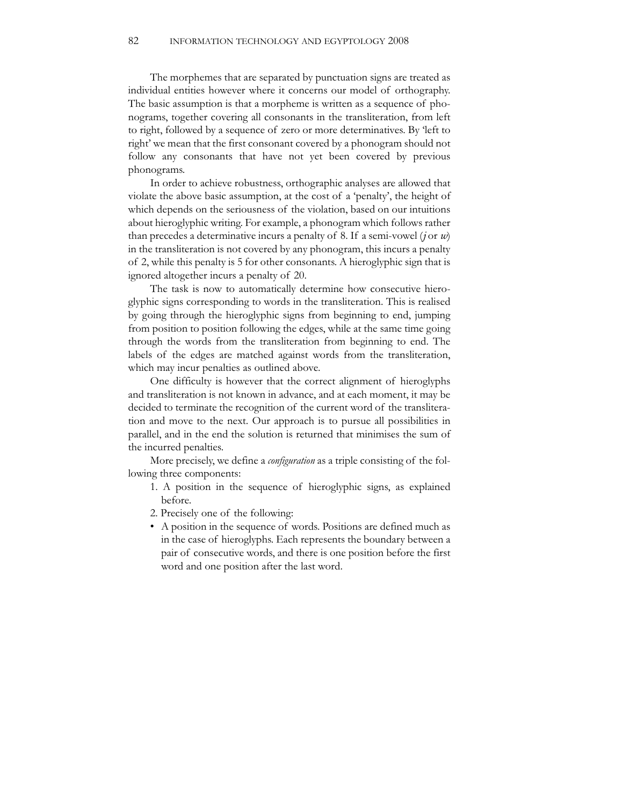The morphemes that are separated by punctuation signs are treated as individual entities however where it concerns our model of orthography. The basic assumption is that a morpheme is written as a sequence of phonograms, together covering all consonants in the transliteration, from left to right, followed by a sequence of zero or more determinatives. By 'left to right' we mean that the first consonant covered by a phonogram should not follow any consonants that have not yet been covered by previous phonograms.

In order to achieve robustness, orthographic analyses are allowed that violate the above basic assumption, at the cost of a 'penalty', the height of which depends on the seriousness of the violation, based on our intuitions about hieroglyphic writing. For example, a phonogram which follows rather than precedes a determinative incurs a penalty of 8. If a semi-vowel (*j* or  $w$ ) in the transliteration is not covered by any phonogram, this incurs a penalty of 2, while this penalty is 5 for other consonants. A hieroglyphic sign that is ignored altogether incurs a penalty of 20.

The task is now to automatically determine how consecutive hieroglyphic signs corresponding to words in the transliteration. This is realised by going through the hieroglyphic signs from beginning to end, jumping from position to position following the edges, while at the same time going through the words from the transliteration from beginning to end. The labels of the edges are matched against words from the transliteration, which may incur penalties as outlined above.

One difficulty is however that the correct alignment of hieroglyphs and transliteration is not known in advance, and at each moment, it may be decided to terminate the recognition of the current word of the transliteration and move to the next. Our approach is to pursue all possibilities in parallel, and in the end the solution is returned that minimises the sum of the incurred penalties.

More precisely, we define a *configuration* as a triple consisting of the following three components:

- 1. A position in the sequence of hieroglyphic signs, as explained before.
- 2. Precisely one of the following:
- A position in the sequence of words. Positions are defined much as in the case of hieroglyphs. Each represents the boundary between a pair of consecutive words, and there is one position before the first word and one position after the last word.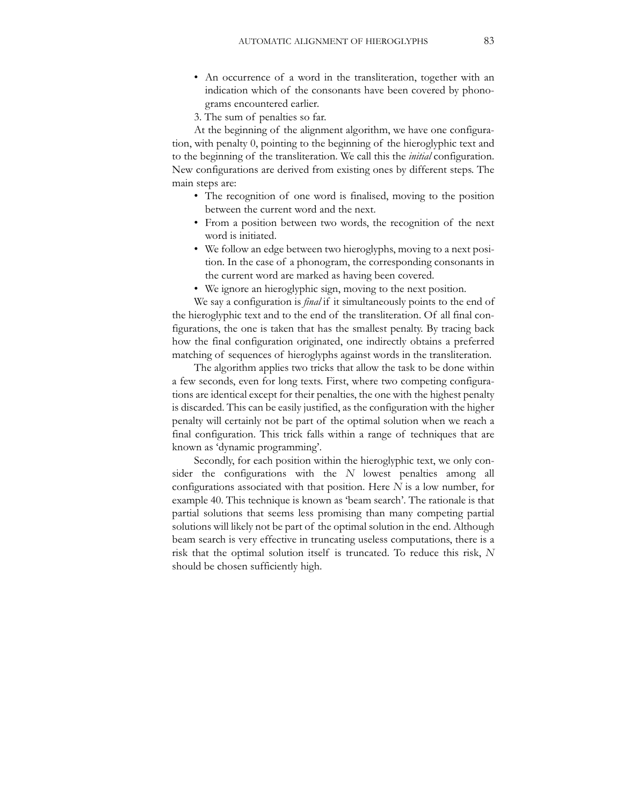- An occurrence of a word in the transliteration, together with an indication which of the consonants have been covered by phonograms encountered earlier.
- 3. The sum of penalties so far.

At the beginning of the alignment algorithm, we have one configuration, with penalty 0, pointing to the beginning of the hieroglyphic text and to the beginning of the transliteration. We call this the *initial* configuration. New configurations are derived from existing ones by different steps. The main steps are:

- The recognition of one word is finalised, moving to the position between the current word and the next.
- From a position between two words, the recognition of the next word is initiated.
- We follow an edge between two hieroglyphs, moving to a next position. In the case of a phonogram, the corresponding consonants in the current word are marked as having been covered.
- We ignore an hieroglyphic sign, moving to the next position.

We say a configuration is *final* if it simultaneously points to the end of the hieroglyphic text and to the end of the transliteration. Of all final configurations, the one is taken that has the smallest penalty. By tracing back how the final configuration originated, one indirectly obtains a preferred matching of sequences of hieroglyphs against words in the transliteration.

The algorithm applies two tricks that allow the task to be done within a few seconds, even for long texts. First, where two competing configurations are identical except for their penalties, the one with the highest penalty is discarded. This can be easily justified, as the configuration with the higher penalty will certainly not be part of the optimal solution when we reach a final configuration. This trick falls within a range of techniques that are known as 'dynamic programming'.

Secondly, for each position within the hieroglyphic text, we only consider the configurations with the *N* lowest penalties among all configurations associated with that position. Here *N* is a low number, for example 40. This technique is known as 'beam search'. The rationale is that partial solutions that seems less promising than many competing partial solutions will likely not be part of the optimal solution in the end. Although beam search is very effective in truncating useless computations, there is a risk that the optimal solution itself is truncated. To reduce this risk, *N* should be chosen sufficiently high.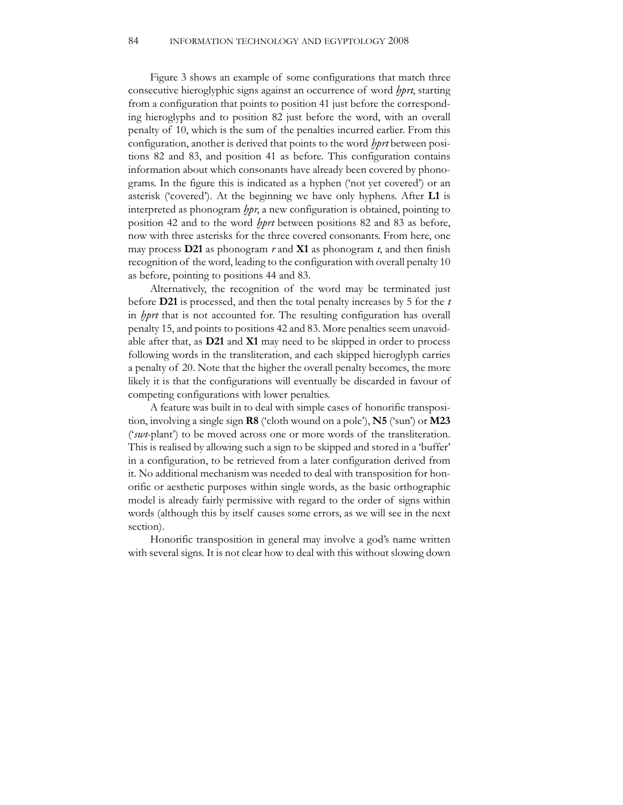Figure 3 shows an example of some configurations that match three consecutive hieroglyphic signs against an occurrence of word *hprt*, starting from a configuration that points to position 41 just before the corresponding hieroglyphs and to position 82 just before the word, with an overall penalty of 10, which is the sum of the penalties incurred earlier. From this configuration, another is derived that points to the word *bprt* between positions 82 and 83, and position 41 as before. This configuration contains information about which consonants have already been covered by phonograms. In the figure this is indicated as a hyphen ('not yet covered') or an asterisk ('covered'). At the beginning we have only hyphens. After **L1** is interpreted as phonogram *lppr*, a new configuration is obtained, pointing to position 42 and to the word *hprt* between positions 82 and 83 as before, now with three asterisks for the three covered consonants. From here, one may process **D21** as phonogram *r* and **X1** as phonogram *t*, and then finish recognition of the word, leading to the configuration with overall penalty 10 as before, pointing to positions 44 and 83.

Alternatively, the recognition of the word may be terminated just before **D21** is processed, and then the total penalty increases by 5 for the *t* in *hprt* that is not accounted for. The resulting configuration has overall penalty 15, and points to positions 42 and 83. More penalties seem unavoidable after that, as **D21** and **X1** may need to be skipped in order to process following words in the transliteration, and each skipped hieroglyph carries a penalty of 20. Note that the higher the overall penalty becomes, the more likely it is that the configurations will eventually be discarded in favour of competing configurations with lower penalties.

A feature was built in to deal with simple cases of honorific transposition, involving a single sign **R8** ('cloth wound on a pole'), **N5** ('sun') or **M23** ('*swt*-plant') to be moved across one or more words of the transliteration. This is realised by allowing such a sign to be skipped and stored in a 'buffer' in a configuration, to be retrieved from a later configuration derived from it. No additional mechanism was needed to deal with transposition for honorific or aesthetic purposes within single words, as the basic orthographic model is already fairly permissive with regard to the order of signs within words (although this by itself causes some errors, as we will see in the next section).

Honorific transposition in general may involve a god's name written with several signs. It is not clear how to deal with this without slowing down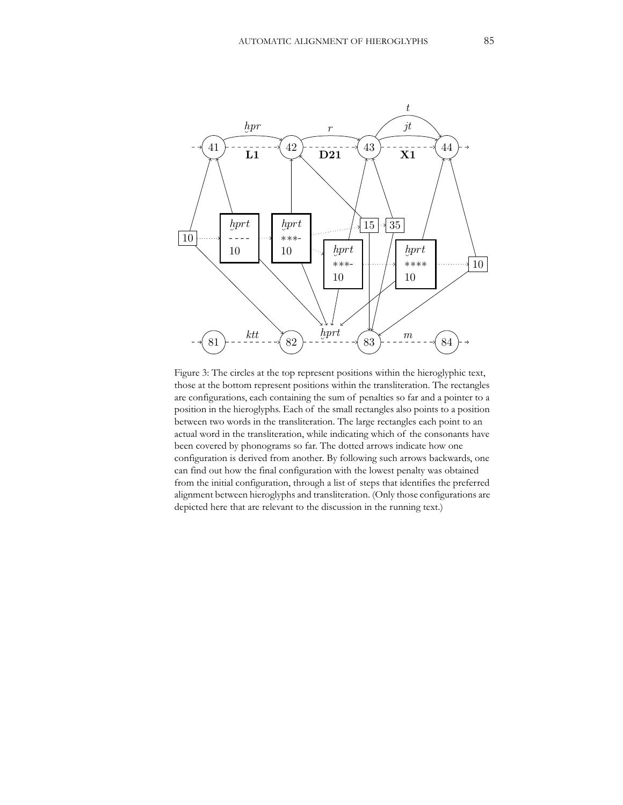

Figure 3: The circles at the top represent positions within the hieroglyphic text, those at the bottom represent positions within the transliteration. The rectangles are configurations, each containing the sum of penalties so far and a pointer to a position in the hieroglyphs. Each of the small rectangles also points to a position between two words in the transliteration. The large rectangles each point to an actual word in the transliteration, while indicating which of the consonants have been covered by phonograms so far. The dotted arrows indicate how one configuration is derived from another. By following such arrows backwards, one can find out how the final configuration with the lowest penalty was obtained from the initial configuration, through a list of steps that identifies the preferred alignment between hieroglyphs and transliteration. (Only those configurations are depicted here that are relevant to the discussion in the running text.)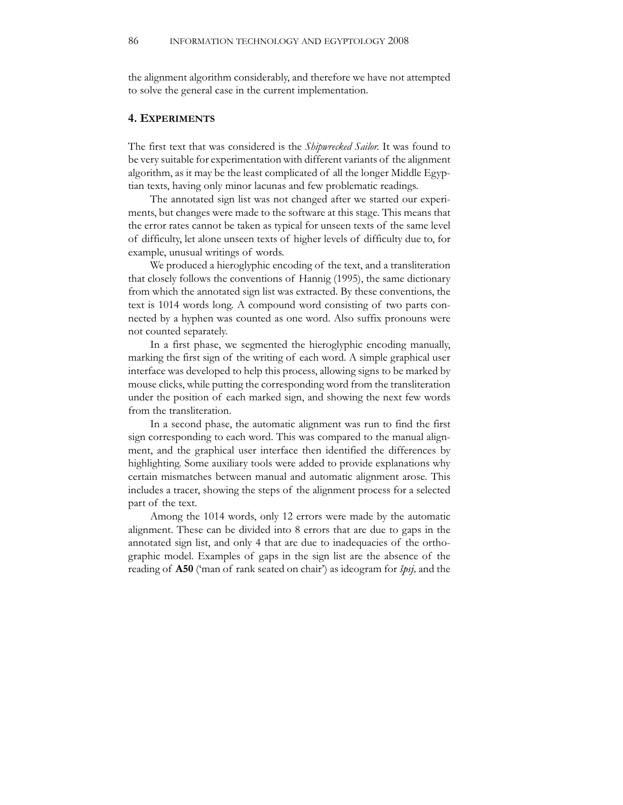the alignment algorithm considerably, and therefore we have not attempted to solve the general case in the current implementation.

#### **4. EXPERIMENTS**

The first text that was considered is the *Shipwrecked Sailor*. It was found to be very suitable for experimentation with different variants of the alignment algorithm, as it may be the least complicated of all the longer Middle Egyptian texts, having only minor lacunas and few problematic readings.

The annotated sign list was not changed after we started our experiments, but changes were made to the software at this stage. This means that the error rates cannot be taken as typical for unseen texts of the same level of difficulty, let alone unseen texts of higher levels of difficulty due to, for example, unusual writings of words.

We produced a hieroglyphic encoding of the text, and a transliteration that closely follows the conventions of Hannig (1995), the same dictionary from which the annotated sign list was extracted. By these conventions, the text is 1014 words long. A compound word consisting of two parts connected by a hyphen was counted as one word. Also suffix pronouns were not counted separately.

In a first phase, we segmented the hieroglyphic encoding manually, marking the first sign of the writing of each word. A simple graphical user interface was developed to help this process, allowing signs to be marked by mouse clicks, while putting the corresponding word from the transliteration under the position of each marked sign, and showing the next few words from the transliteration.

In a second phase, the automatic alignment was run to find the first sign corresponding to each word. This was compared to the manual alignment, and the graphical user interface then identified the differences by highlighting. Some auxiliary tools were added to provide explanations why certain mismatches between manual and automatic alignment arose. This includes a tracer, showing the steps of the alignment process for a selected part of the text.

Among the 1014 words, only 12 errors were made by the automatic alignment. These can be divided into 8 errors that are due to gaps in the annotated sign list, and only 4 that are due to inadequacies of the orthographic model. Examples of gaps in the sign list are the absence of the reading of **A50** ('man of rank seated on chair') as ideogram for *Spsj,* and the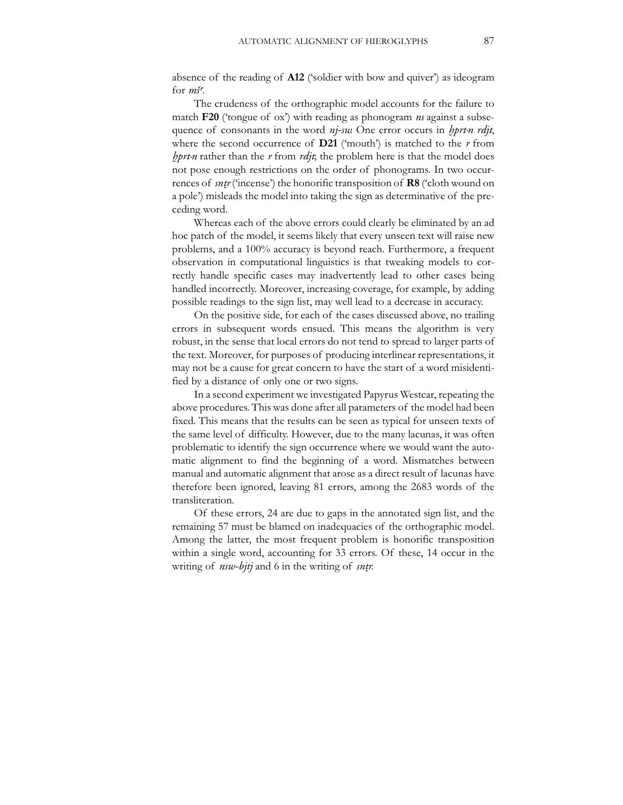absence of the reading of **A12** ('soldier with bow and quiver') as ideogram for *ms<sup>c</sup>*.

The crudeness of the orthographic model accounts for the failure to match **F20** ('tongue of ox') with reading as phonogram *ns* against a subsequence of consonants in the word *nj-sw*. One error occurs in *hprt-n rdjt*, where the second occurrence of  $D21$  ('mouth') is matched to the  $r$  from *xprt.n* rather than the *r* from *rdjt*; the problem here is that the model does not pose enough restrictions on the order of phonograms. In two occurrences of *sntr* ('incense') the honorific transposition of **R8** ('cloth wound on a pole') misleads the model into taking the sign as determinative of the preceding word.

Whereas each of the above errors could clearly be eliminated by an ad hoc patch of the model, it seems likely that every unseen text will raise new problems, and a 100% accuracy is beyond reach. Furthermore, a frequent observation in computational linguistics is that tweaking models to correctly handle specific cases may inadvertently lead to other cases being handled incorrectly. Moreover, increasing coverage, for example, by adding possible readings to the sign list, may well lead to a decrease in accuracy.

On the positive side, for each of the cases discussed above, no trailing errors in subsequent words ensued. This means the algorithm is very robust, in the sense that local errors do not tend to spread to larger parts of the text. Moreover, for purposes of producing interlinear representations, it may not be a cause for great concern to have the start of a word misidentified by a distance of only one or two signs.

In a second experiment we investigated Papyrus Westcar, repeating the above procedures. This was done after all parameters of the model had been fixed. This means that the results can be seen as typical for unseen texts of the same level of difficulty. However, due to the many lacunas, it was often problematic to identify the sign occurrence where we would want the automatic alignment to find the beginning of a word. Mismatches between manual and automatic alignment that arose as a direct result of lacunas have therefore been ignored, leaving 81 errors, among the 2683 words of the transliteration.

Of these errors, 24 are due to gaps in the annotated sign list, and the remaining 57 must be blamed on inadequacies of the orthographic model. Among the latter, the most frequent problem is honorific transposition within a single word, accounting for 33 errors. Of these, 14 occur in the writing of *nsw-bjtj* and 6 in the writing of *sntr*.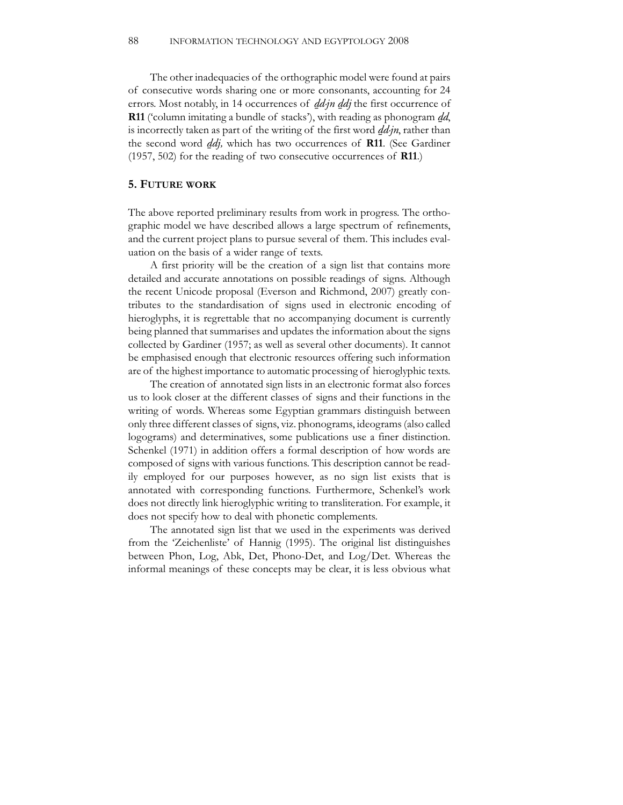The other inadequacies of the orthographic model were found at pairs of consecutive words sharing one or more consonants, accounting for 24 errors. Most notably, in 14 occurrences of *dd-jn ddj* the first occurrence of **R11** ('column imitating a bundle of stacks'), with reading as phonogram *dd*, is incorrectly taken as part of the writing of the first word *dd-jn*, rather than the second word *ddj*, which has two occurrences of **R11**. (See Gardiner (1957, 502) for the reading of two consecutive occurrences of **R11**.)

#### **5. FUTURE WORK**

The above reported preliminary results from work in progress. The orthographic model we have described allows a large spectrum of refinements, and the current project plans to pursue several of them. This includes evaluation on the basis of a wider range of texts.

A first priority will be the creation of a sign list that contains more detailed and accurate annotations on possible readings of signs. Although the recent Unicode proposal (Everson and Richmond, 2007) greatly contributes to the standardisation of signs used in electronic encoding of hieroglyphs, it is regrettable that no accompanying document is currently being planned that summarises and updates the information about the signs collected by Gardiner (1957; as well as several other documents). It cannot be emphasised enough that electronic resources offering such information are of the highest importance to automatic processing of hieroglyphic texts.

The creation of annotated sign lists in an electronic format also forces us to look closer at the different classes of signs and their functions in the writing of words. Whereas some Egyptian grammars distinguish between only three different classes of signs, viz. phonograms, ideograms (also called logograms) and determinatives, some publications use a finer distinction. Schenkel (1971) in addition offers a formal description of how words are composed of signs with various functions. This description cannot be readily employed for our purposes however, as no sign list exists that is annotated with corresponding functions. Furthermore, Schenkel's work does not directly link hieroglyphic writing to transliteration. For example, it does not specify how to deal with phonetic complements.

The annotated sign list that we used in the experiments was derived from the 'Zeichenliste' of Hannig (1995). The original list distinguishes between Phon, Log, Abk, Det, Phono-Det, and Log/Det. Whereas the informal meanings of these concepts may be clear, it is less obvious what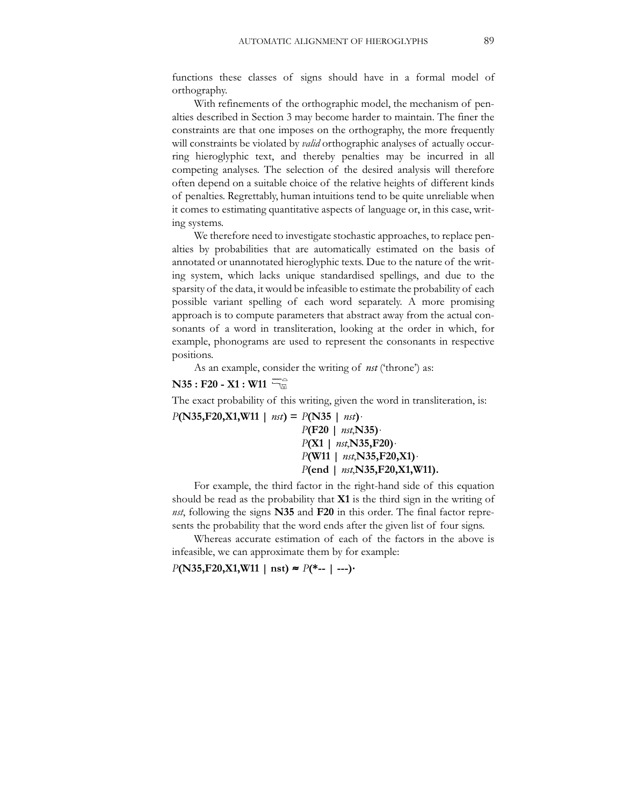functions these classes of signs should have in a formal model of orthography.

With refinements of the orthographic model, the mechanism of penalties described in Section 3 may become harder to maintain. The finer the constraints are that one imposes on the orthography, the more frequently will constraints be violated by *valid* orthographic analyses of actually occurring hieroglyphic text, and thereby penalties may be incurred in all competing analyses. The selection of the desired analysis will therefore often depend on a suitable choice of the relative heights of different kinds of penalties. Regrettably, human intuitions tend to be quite unreliable when it comes to estimating quantitative aspects of language or, in this case, writing systems.

We therefore need to investigate stochastic approaches, to replace penalties by probabilities that are automatically estimated on the basis of annotated or unannotated hieroglyphic texts. Due to the nature of the writing system, which lacks unique standardised spellings, and due to the sparsity of the data, it would be infeasible to estimate the probability of each possible variant spelling of each word separately. A more promising approach is to compute parameters that abstract away from the actual consonants of a word in transliteration, looking at the order in which, for example, phonograms are used to represent the consonants in respective positions.

As an example, consider the writing of *nst* ('throne') as:

#### **N35 : F20 - X1 : W11**  האווי<br>©

The exact probability of this writing, given the word in transliteration, is:

 $P(N35, F20, X1, W11 \mid nst) = P(N35 \mid nst)$ ・ *P***(F20 |** *nst*,**N35)**<sup>⋅</sup> *P***(X1 |** *nst*,**N35,F20)**<sup>⋅</sup> *P***(W11 |** *nst*,**N35,F20,X1)**<sup>⋅</sup> *P***(end |** *nst*,**N35,F20,X1,W11).**

For example, the third factor in the right-hand side of this equation should be read as the probability that **X1** is the third sign in the writing of *nst*, following the signs **N35** and **F20** in this order. The final factor represents the probability that the word ends after the given list of four signs.

Whereas accurate estimation of each of the factors in the above is infeasible, we can approximate them by for example:

### *P***(N35,F20,X1,W11 | nst)** <sup>≈</sup> *P***(\*-- | ---)**⋅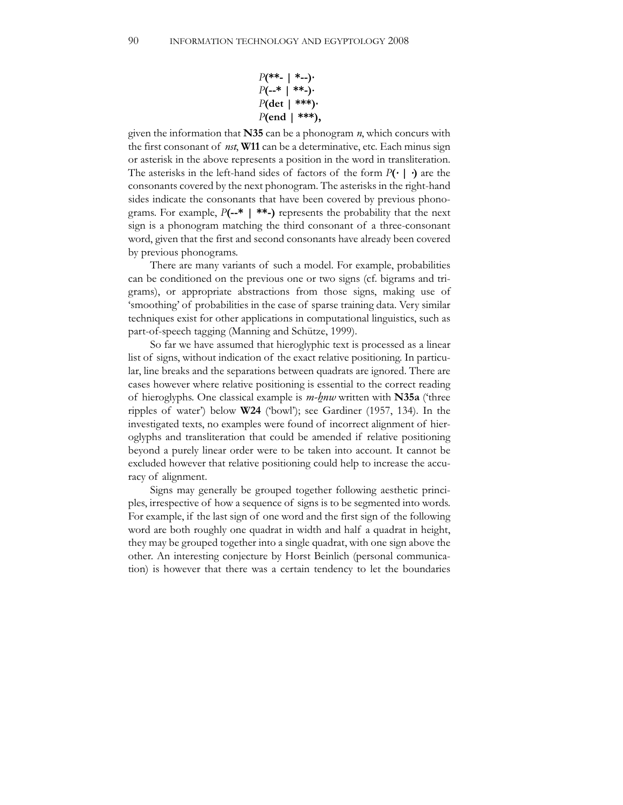$$
P(**-|*-)-
$$
  
P(--\*| \*\*-)-  
P(det | \*\*\*)-  
P(end | \*\*\*),

given the information that **N35** can be a phonogram *n*, which concurs with the first consonant of *nst*, **W11** can be a determinative, etc. Each minus sign or asterisk in the above represents a position in the word in transliteration. The asterisks in the left-hand sides of factors of the form *P***(**⋅ **|** ⋅**)** are the consonants covered by the next phonogram. The asterisks in the right-hand sides indicate the consonants that have been covered by previous phonograms. For example, *P***(--\* | \*\*-)** represents the probability that the next sign is a phonogram matching the third consonant of a three-consonant word, given that the first and second consonants have already been covered by previous phonograms.

There are many variants of such a model. For example, probabilities can be conditioned on the previous one or two signs (cf. bigrams and trigrams), or appropriate abstractions from those signs, making use of 'smoothing' of probabilities in the case of sparse training data. Very similar techniques exist for other applications in computational linguistics, such as part-of-speech tagging (Manning and Schütze, 1999).

So far we have assumed that hieroglyphic text is processed as a linear list of signs, without indication of the exact relative positioning. In particular, line breaks and the separations between quadrats are ignored. There are cases however where relative positioning is essential to the correct reading of hieroglyphs. One classical example is  $m$ -hnw written with **N35a** ('three ripples of water') below **W24** ('bowl'); see Gardiner (1957, 134). In the investigated texts, no examples were found of incorrect alignment of hieroglyphs and transliteration that could be amended if relative positioning beyond a purely linear order were to be taken into account. It cannot be excluded however that relative positioning could help to increase the accuracy of alignment.

Signs may generally be grouped together following aesthetic principles, irrespective of how a sequence of signs is to be segmented into words. For example, if the last sign of one word and the first sign of the following word are both roughly one quadrat in width and half a quadrat in height, they may be grouped together into a single quadrat, with one sign above the other. An interesting conjecture by Horst Beinlich (personal communication) is however that there was a certain tendency to let the boundaries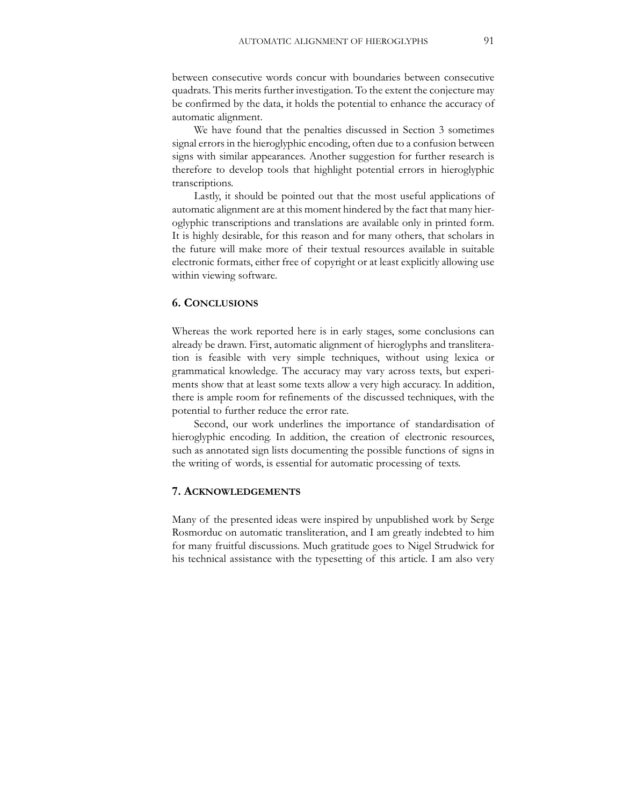between consecutive words concur with boundaries between consecutive quadrats. This merits further investigation. To the extent the conjecture may be confirmed by the data, it holds the potential to enhance the accuracy of automatic alignment.

We have found that the penalties discussed in Section 3 sometimes signal errors in the hieroglyphic encoding, often due to a confusion between signs with similar appearances. Another suggestion for further research is therefore to develop tools that highlight potential errors in hieroglyphic transcriptions.

Lastly, it should be pointed out that the most useful applications of automatic alignment are at this moment hindered by the fact that many hieroglyphic transcriptions and translations are available only in printed form. It is highly desirable, for this reason and for many others, that scholars in the future will make more of their textual resources available in suitable electronic formats, either free of copyright or at least explicitly allowing use within viewing software.

#### **6. CONCLUSIONS**

Whereas the work reported here is in early stages, some conclusions can already be drawn. First, automatic alignment of hieroglyphs and transliteration is feasible with very simple techniques, without using lexica or grammatical knowledge. The accuracy may vary across texts, but experiments show that at least some texts allow a very high accuracy. In addition, there is ample room for refinements of the discussed techniques, with the potential to further reduce the error rate.

Second, our work underlines the importance of standardisation of hieroglyphic encoding. In addition, the creation of electronic resources, such as annotated sign lists documenting the possible functions of signs in the writing of words, is essential for automatic processing of texts.

#### **7. ACKNOWLEDGEMENTS**

Many of the presented ideas were inspired by unpublished work by Serge Rosmorduc on automatic transliteration, and I am greatly indebted to him for many fruitful discussions. Much gratitude goes to Nigel Strudwick for his technical assistance with the typesetting of this article. I am also very